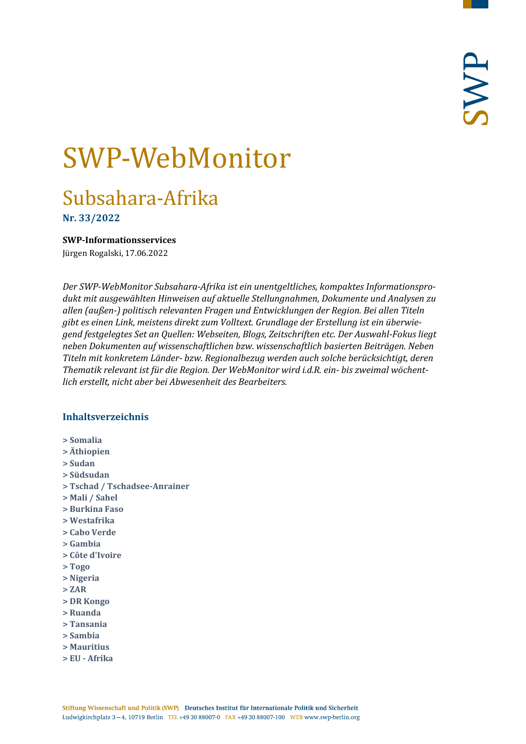# SWP-WebMonitor

# Subsahara-Afrika

**Nr. 33/2022**

<span id="page-0-0"></span>**SWP-Informationsservices**

Jürgen Rogalski, 17.06.2022

*Der SWP-WebMonitor Subsahara-Afrika ist ein unentgeltliches, kompaktes Informationsprodukt mit ausgewählten Hinweisen auf aktuelle Stellungnahmen, Dokumente und Analysen zu allen (außen-) politisch relevanten Fragen und Entwicklungen der Region. Bei allen Titeln gibt es einen Link, meistens direkt zum Volltext. Grundlage der Erstellung ist ein überwiegend festgelegtes Set an Quellen: Webseiten, Blogs, Zeitschriften etc. Der Auswahl-Fokus liegt neben Dokumenten auf wissenschaftlichen bzw. wissenschaftlich basierten Beiträgen. Neben Titeln mit konkretem Länder- bzw. Regionalbezug werden auch solche berücksichtigt, deren Thematik relevant ist für die Region. Der WebMonitor wird i.d.R. ein- bis zweimal wöchentlich erstellt, nicht aber bei Abwesenheit des Bearbeiters.*

# **Inhaltsverzeichnis**

- **[> Somalia](#page-1-0)**
- **[> Äthiopien](#page-2-0)**
- **[> Sudan](#page-2-1)**
- **[> Südsudan](#page-3-0)**
- **[> Tschad / Tschadsee-Anrainer](#page-4-0)**
- **[> Mali / Sahel](#page-4-1)**
- **[> Burkina Faso](#page-4-2)**
- **[> Westafrika](#page-4-3)**
- **[> Cabo Verde](#page-5-0)**
- **[> Gambia](#page-5-1)**
- **[> Côte d'Ivoire](#page-5-2)**
- **[> Togo](#page-5-3)**
- **[> Nigeria](#page-6-0)**
- **[> ZAR](#page-7-0)**
- **[> DR Kongo](#page-7-1)**
- **[> Ruanda](#page-7-2)**
- **[> Tansania](#page-7-3)**
- **[> Sambia](#page-8-0)**
- **[> Mauritius](#page-8-1)**
- **> EU - [Afrika](#page-8-2)**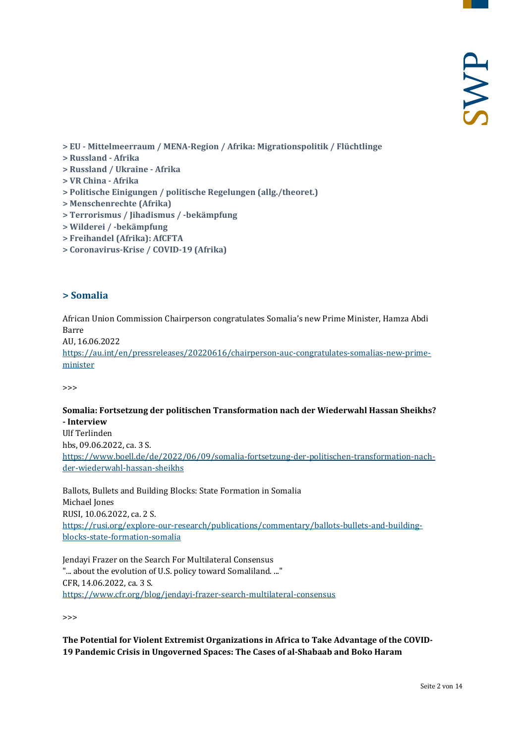- **> EU - [Mittelmeerraum / MENA-Region / Afrika: Migrationspolitik / Flüchtlinge](#page-8-3)**
- **[> Russland -](#page-9-0) Afrika**
- **[> Russland / Ukraine -](#page-10-0) Afrika**
- **[> VR China -](#page-10-1) Afrika**
- **[> Politische Einigungen / politische Regelungen \(allg./theoret.\)](#page-10-2)**
- **[> Menschenrechte \(Afrika\)](#page-11-0)**
- **[> Terrorismus / Jihadismus / -bekämpfung](#page-11-1)**
- **[> Wilderei / -bekämpfung](#page-12-0)**
- **[> Freihandel \(Afrika\): AfCFTA](#page-12-1)**
- <span id="page-1-0"></span>**[> Coronavirus-Krise / COVID-19 \(Afrika\)](#page-12-2)**

#### **> Somalia**

African Union Commission Chairperson congratulates Somalia's new Prime Minister, Hamza Abdi Barre

AU, 16.06.2022

[https://au.int/en/pressreleases/20220616/chairperson-auc-congratulates-somalias-new-prime](https://au.int/en/pressreleases/20220616/chairperson-auc-congratulates-somalias-new-prime-minister)[minister](https://au.int/en/pressreleases/20220616/chairperson-auc-congratulates-somalias-new-prime-minister)

>>>

#### **Somalia: Fortsetzung der politischen Transformation nach der Wiederwahl Hassan Sheikhs? - Interview**

Ulf Terlinden hbs, 09.06.2022, ca. 3 S. [https://www.boell.de/de/2022/06/09/somalia-fortsetzung-der-politischen-transformation-nach](https://www.boell.de/de/2022/06/09/somalia-fortsetzung-der-politischen-transformation-nach-der-wiederwahl-hassan-sheikhs)[der-wiederwahl-hassan-sheikhs](https://www.boell.de/de/2022/06/09/somalia-fortsetzung-der-politischen-transformation-nach-der-wiederwahl-hassan-sheikhs)

Ballots, Bullets and Building Blocks: State Formation in Somalia Michael Jones RUSI, 10.06.2022, ca. 2 S. [https://rusi.org/explore-our-research/publications/commentary/ballots-bullets-and-building](https://rusi.org/explore-our-research/publications/commentary/ballots-bullets-and-building-blocks-state-formation-somalia)[blocks-state-formation-somalia](https://rusi.org/explore-our-research/publications/commentary/ballots-bullets-and-building-blocks-state-formation-somalia)

Jendayi Frazer on the Search For Multilateral Consensus "... about the evolution of U.S. policy toward Somaliland. ..." CFR, 14.06.2022, ca. 3 S. <https://www.cfr.org/blog/jendayi-frazer-search-multilateral-consensus>

>>>

**The Potential for Violent Extremist Organizations in Africa to Take Advantage of the COVID-19 Pandemic Crisis in Ungoverned Spaces: The Cases of al-Shabaab and Boko Haram**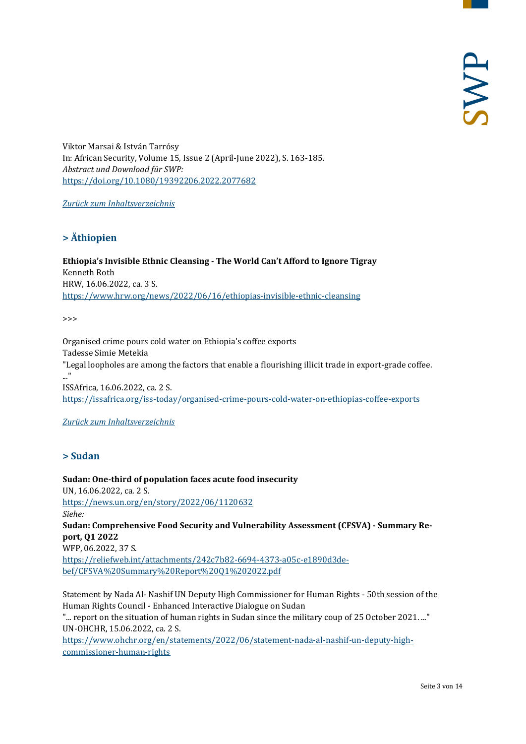Viktor Marsai & István Tarrósy In: African Security, Volume 15, Issue 2 (April-June 2022), S. 163-185. *Abstract und Download für SWP:* <https://doi.org/10.1080/19392206.2022.2077682>

<span id="page-2-0"></span>*[Zurück zum Inhaltsverzeichnis](#page-0-0)*

# **> Äthiopien**

**Ethiopia's Invisible Ethnic Cleansing - The World Can't Afford to Ignore Tigray** Kenneth Roth HRW, 16.06.2022, ca. 3 S. <https://www.hrw.org/news/2022/06/16/ethiopias-invisible-ethnic-cleansing>

 $\rightarrow$ 

Organised crime pours cold water on Ethiopia's coffee exports Tadesse Simie Metekia "Legal loopholes are among the factors that enable a flourishing illicit trade in export-grade coffee. ..." ISSAfrica, 16.06.2022, ca. 2 S. <https://issafrica.org/iss-today/organised-crime-pours-cold-water-on-ethiopias-coffee-exports>

#### <span id="page-2-1"></span>*[Zurück zum Inhaltsverzeichnis](#page-0-0)*

# **> Sudan**

**Sudan: One-third of population faces acute food insecurity**  UN, 16.06.2022, ca. 2 S. <https://news.un.org/en/story/2022/06/1120632> *Siehe:* **Sudan: Comprehensive Food Security and Vulnerability Assessment (CFSVA) - Summary Report, Q1 2022** WFP, 06.2022, 37 S. [https://reliefweb.int/attachments/242c7b82-6694-4373-a05c-e1890d3de](https://reliefweb.int/attachments/242c7b82-6694-4373-a05c-e1890d3debef/CFSVA%20Summary%20Report%20Q1%202022.pdf)[bef/CFSVA%20Summary%20Report%20Q1%202022.pdf](https://reliefweb.int/attachments/242c7b82-6694-4373-a05c-e1890d3debef/CFSVA%20Summary%20Report%20Q1%202022.pdf)

Statement by Nada Al- Nashif UN Deputy High Commissioner for Human Rights - 50th session of the Human Rights Council - Enhanced Interactive Dialogue on Sudan "... report on the situation of human rights in Sudan since the military coup of 25 October 2021. ..."

UN-OHCHR, 15.06.2022, ca. 2 S. [https://www.ohchr.org/en/statements/2022/06/statement-nada-al-nashif-un-deputy-high-](https://www.ohchr.org/en/statements/2022/06/statement-nada-al-nashif-un-deputy-high-commissioner-human-rights)

[commissioner-human-rights](https://www.ohchr.org/en/statements/2022/06/statement-nada-al-nashif-un-deputy-high-commissioner-human-rights)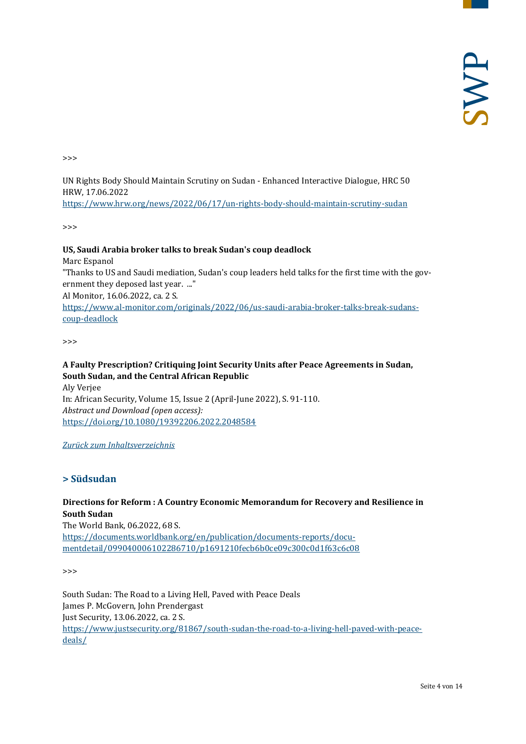>>>

UN Rights Body Should Maintain Scrutiny on Sudan - Enhanced Interactive Dialogue, HRC 50 HRW, 17.06.2022 <https://www.hrw.org/news/2022/06/17/un-rights-body-should-maintain-scrutiny-sudan>

>>>

#### **US, Saudi Arabia broker talks to break Sudan's coup deadlock**

Marc Espanol

"Thanks to US and Saudi mediation, Sudan's coup leaders held talks for the first time with the government they deposed last year. ..."

Al Monitor, 16.06.2022, ca. 2 S.

[https://www.al-monitor.com/originals/2022/06/us-saudi-arabia-broker-talks-break-sudans](https://www.al-monitor.com/originals/2022/06/us-saudi-arabia-broker-talks-break-sudans-coup-deadlock)[coup-deadlock](https://www.al-monitor.com/originals/2022/06/us-saudi-arabia-broker-talks-break-sudans-coup-deadlock)

>>>

# **A Faulty Prescription? Critiquing Joint Security Units after Peace Agreements in Sudan, South Sudan, and the Central African Republic**

Aly Verjee In: African Security, Volume 15, Issue 2 (April-June 2022), S. 91-110. *Abstract und Download (open access):* <https://doi.org/10.1080/19392206.2022.2048584>

<span id="page-3-0"></span>*[Zurück zum Inhaltsverzeichnis](#page-0-0)*

#### **> Südsudan**

# **Directions for Reform : A Country Economic Memorandum for Recovery and Resilience in South Sudan**

The World Bank, 06.2022, 68 S. [https://documents.worldbank.org/en/publication/documents-reports/docu](https://documents.worldbank.org/en/publication/documents-reports/documentdetail/099040006102286710/p1691210fecb6b0ce09c300c0d1f63c6c08)[mentdetail/099040006102286710/p1691210fecb6b0ce09c300c0d1f63c6c08](https://documents.worldbank.org/en/publication/documents-reports/documentdetail/099040006102286710/p1691210fecb6b0ce09c300c0d1f63c6c08)

>>>

South Sudan: The Road to a Living Hell, Paved with Peace Deals James P. McGovern, John Prendergast Just Security, 13.06.2022, ca. 2 S. [https://www.justsecurity.org/81867/south-sudan-the-road-to-a-living-hell-paved-with-peace](https://www.justsecurity.org/81867/south-sudan-the-road-to-a-living-hell-paved-with-peace-deals/)[deals/](https://www.justsecurity.org/81867/south-sudan-the-road-to-a-living-hell-paved-with-peace-deals/)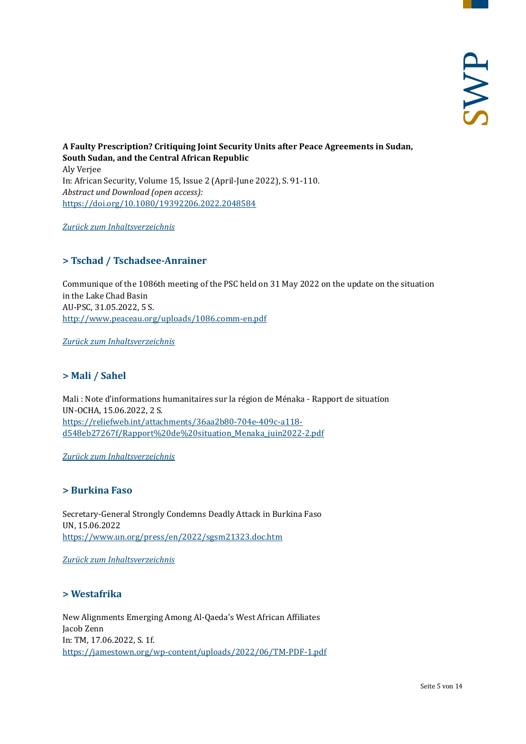**A Faulty Prescription? Critiquing Joint Security Units after Peace Agreements in Sudan, South Sudan, and the Central African Republic**  Aly Verjee In: African Security, Volume 15, Issue 2 (April-June 2022), S. 91-110. *Abstract und Download (open access):* <https://doi.org/10.1080/19392206.2022.2048584>

<span id="page-4-0"></span>*[Zurück zum Inhaltsverzeichnis](#page-0-0)*

# **> Tschad / Tschadsee-Anrainer**

Communique of the 1086th meeting of the PSC held on 31 May 2022 on the update on the situation in the Lake Chad Basin AU-PSC, 31.05.2022, 5 S. <http://www.peaceau.org/uploads/1086.comm-en.pdf>

<span id="page-4-1"></span>*[Zurück zum Inhaltsverzeichnis](#page-0-0)*

# **> Mali / Sahel**

Mali : Note d'informations humanitaires sur la région de Ménaka - Rapport de situation UN-OCHA, 15.06.2022, 2 S. [https://reliefweb.int/attachments/36aa2b80-704e-409c-a118](https://reliefweb.int/attachments/36aa2b80-704e-409c-a118-d548eb27267f/Rapport%20de%20situation_Menaka_juin2022-2.pdf) [d548eb27267f/Rapport%20de%20situation\\_Menaka\\_juin2022-2.pdf](https://reliefweb.int/attachments/36aa2b80-704e-409c-a118-d548eb27267f/Rapport%20de%20situation_Menaka_juin2022-2.pdf)

<span id="page-4-2"></span>*[Zurück zum Inhaltsverzeichnis](#page-0-0)*

#### **> Burkina Faso**

Secretary-General Strongly Condemns Deadly Attack in Burkina Faso UN, 15.06.2022 <https://www.un.org/press/en/2022/sgsm21323.doc.htm>

<span id="page-4-3"></span>*[Zurück zum Inhaltsverzeichnis](#page-0-0)*

# **> Westafrika**

New Alignments Emerging Among Al-Qaeda's West African Affiliates Jacob Zenn In: TM, 17.06.2022, S. 1f. <https://jamestown.org/wp-content/uploads/2022/06/TM-PDF-1.pdf>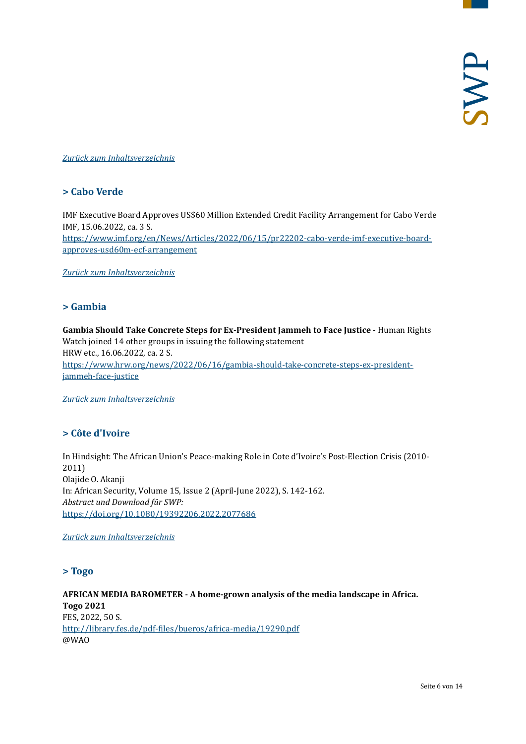#### <span id="page-5-0"></span>*[Zurück zum Inhaltsverzeichnis](#page-0-0)*

# **> Cabo Verde**

IMF Executive Board Approves US\$60 Million Extended Credit Facility Arrangement for Cabo Verde IMF, 15.06.2022, ca. 3 S. [https://www.imf.org/en/News/Articles/2022/06/15/pr22202-cabo-verde-imf-executive-board](https://www.imf.org/en/News/Articles/2022/06/15/pr22202-cabo-verde-imf-executive-board-approves-usd60m-ecf-arrangement)[approves-usd60m-ecf-arrangement](https://www.imf.org/en/News/Articles/2022/06/15/pr22202-cabo-verde-imf-executive-board-approves-usd60m-ecf-arrangement)

<span id="page-5-1"></span>*[Zurück zum Inhaltsverzeichnis](#page-0-0)*

#### **> Gambia**

**Gambia Should Take Concrete Steps for Ex-President Jammeh to Face Justice** - Human Rights Watch joined 14 other groups in issuing the following statement HRW etc., 16.06.2022, ca. 2 S. [https://www.hrw.org/news/2022/06/16/gambia-should-take-concrete-steps-ex-president](https://www.hrw.org/news/2022/06/16/gambia-should-take-concrete-steps-ex-president-jammeh-face-justice)[jammeh-face-justice](https://www.hrw.org/news/2022/06/16/gambia-should-take-concrete-steps-ex-president-jammeh-face-justice)

<span id="page-5-2"></span>*[Zurück zum Inhaltsverzeichnis](#page-0-0)*

# **> Côte d'Ivoire**

In Hindsight: The African Union's Peace-making Role in Cote d'Ivoire's Post-Election Crisis (2010- 2011) Olajide O. Akanji In: African Security, Volume 15, Issue 2 (April-June 2022), S. 142-162. *Abstract und Download für SWP:* <https://doi.org/10.1080/19392206.2022.2077686>

<span id="page-5-3"></span>*[Zurück zum Inhaltsverzeichnis](#page-0-0)*

#### **> Togo**

**AFRICAN MEDIA BAROMETER - A home-grown analysis of the media landscape in Africa. Togo 2021** FES, 2022, 50 S. <http://library.fes.de/pdf-files/bueros/africa-media/19290.pdf> @WAO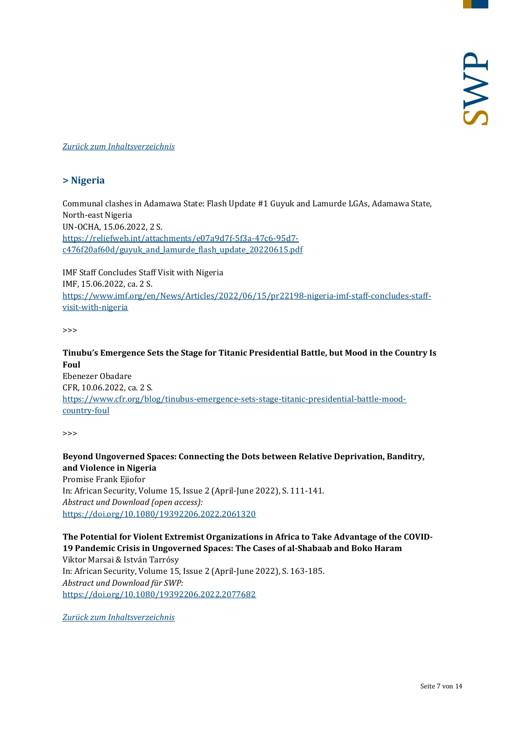#### <span id="page-6-0"></span>*[Zurück zum Inhaltsverzeichnis](#page-0-0)*

# **> Nigeria**

Communal clashes in Adamawa State: Flash Update #1 Guyuk and Lamurde LGAs, Adamawa State, North-east Nigeria UN-OCHA, 15.06.2022, 2 S. [https://reliefweb.int/attachments/e07a9d7f-5f3a-47c6-95d7](https://reliefweb.int/attachments/e07a9d7f-5f3a-47c6-95d7-c476f20af60d/guyuk_and_lamurde_flash_update_20220615.pdf) [c476f20af60d/guyuk\\_and\\_lamurde\\_flash\\_update\\_20220615.pdf](https://reliefweb.int/attachments/e07a9d7f-5f3a-47c6-95d7-c476f20af60d/guyuk_and_lamurde_flash_update_20220615.pdf)

IMF Staff Concludes Staff Visit with Nigeria IMF, 15.06.2022, ca. 2 S. [https://www.imf.org/en/News/Articles/2022/06/15/pr22198-nigeria-imf-staff-concludes-staff](https://www.imf.org/en/News/Articles/2022/06/15/pr22198-nigeria-imf-staff-concludes-staff-visit-with-nigeria)[visit-with-nigeria](https://www.imf.org/en/News/Articles/2022/06/15/pr22198-nigeria-imf-staff-concludes-staff-visit-with-nigeria)

>>>

**Tinubu's Emergence Sets the Stage for Titanic Presidential Battle, but Mood in the Country Is Foul** Ebenezer Obadare CFR, 10.06.2022, ca. 2 S. [https://www.cfr.org/blog/tinubus-emergence-sets-stage-titanic-presidential-battle-mood](https://www.cfr.org/blog/tinubus-emergence-sets-stage-titanic-presidential-battle-mood-country-foul)[country-foul](https://www.cfr.org/blog/tinubus-emergence-sets-stage-titanic-presidential-battle-mood-country-foul)

>>>

#### **Beyond Ungoverned Spaces: Connecting the Dots between Relative Deprivation, Banditry, and Violence in Nigeria** Promise Frank Ejiofor

In: African Security, Volume 15, Issue 2 (April-June 2022), S. 111-141. *Abstract und Download (open access):* <https://doi.org/10.1080/19392206.2022.2061320>

**The Potential for Violent Extremist Organizations in Africa to Take Advantage of the COVID-19 Pandemic Crisis in Ungoverned Spaces: The Cases of al-Shabaab and Boko Haram** Viktor Marsai & István Tarrósy In: African Security, Volume 15, Issue 2 (April-June 2022), S. 163-185. *Abstract und Download für SWP:* <https://doi.org/10.1080/19392206.2022.2077682>

*[Zurück zum Inhaltsverzeichnis](#page-0-0)*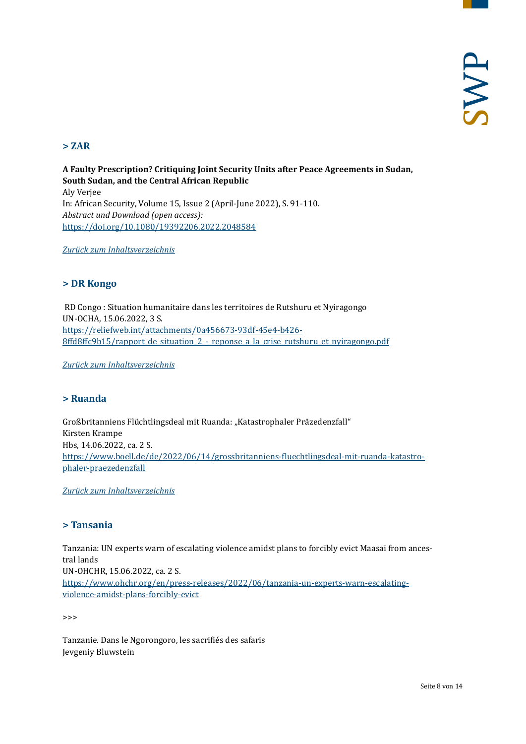# <span id="page-7-0"></span>**> ZAR**

**A Faulty Prescription? Critiquing Joint Security Units after Peace Agreements in Sudan, South Sudan, and the Central African Republic**  Aly Verjee In: African Security, Volume 15, Issue 2 (April-June 2022), S. 91-110. *Abstract und Download (open access):* <https://doi.org/10.1080/19392206.2022.2048584>

<span id="page-7-1"></span>*[Zurück zum Inhaltsverzeichnis](#page-0-0)*

#### **> DR Kongo**

RD Congo : Situation humanitaire dans les territoires de Rutshuru et Nyiragongo UN-OCHA, 15.06.2022, 3 S. [https://reliefweb.int/attachments/0a456673-93df-45e4-b426-](https://reliefweb.int/attachments/0a456673-93df-45e4-b426-8ffd8ffc9b15/rapport_de_situation_2_-_reponse_a_la_crise_rutshuru_et_nyiragongo.pdf) [8ffd8ffc9b15/rapport\\_de\\_situation\\_2\\_-\\_reponse\\_a\\_la\\_crise\\_rutshuru\\_et\\_nyiragongo.pdf](https://reliefweb.int/attachments/0a456673-93df-45e4-b426-8ffd8ffc9b15/rapport_de_situation_2_-_reponse_a_la_crise_rutshuru_et_nyiragongo.pdf)

<span id="page-7-2"></span>*[Zurück zum Inhaltsverzeichnis](#page-0-0)*

# **> Ruanda**

Großbritanniens Flüchtlingsdeal mit Ruanda: "Katastrophaler Präzedenzfall" Kirsten Krampe Hbs, 14.06.2022, ca. 2 S. [https://www.boell.de/de/2022/06/14/grossbritanniens-fluechtlingsdeal-mit-ruanda-katastro](https://www.boell.de/de/2022/06/14/grossbritanniens-fluechtlingsdeal-mit-ruanda-katastrophaler-praezedenzfall)[phaler-praezedenzfall](https://www.boell.de/de/2022/06/14/grossbritanniens-fluechtlingsdeal-mit-ruanda-katastrophaler-praezedenzfall)

<span id="page-7-3"></span>*[Zurück zum Inhaltsverzeichnis](#page-0-0)*

#### **> Tansania**

Tanzania: UN experts warn of escalating violence amidst plans to forcibly evict Maasai from ancestral lands UN-OHCHR, 15.06.2022, ca. 2 S. [https://www.ohchr.org/en/press-releases/2022/06/tanzania-un-experts-warn-escalating](https://www.ohchr.org/en/press-releases/2022/06/tanzania-un-experts-warn-escalating-violence-amidst-plans-forcibly-evict)[violence-amidst-plans-forcibly-evict](https://www.ohchr.org/en/press-releases/2022/06/tanzania-un-experts-warn-escalating-violence-amidst-plans-forcibly-evict)

>>>

Tanzanie. Dans le Ngorongoro, les sacrifiés des safaris Jevgeniy Bluwstein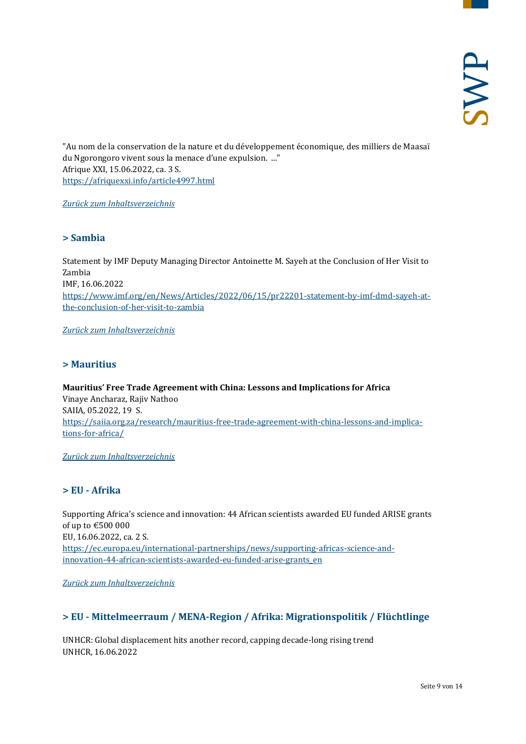"Au nom de la conservation de la nature et du développement économique, des milliers de Maasaï du Ngorongoro vivent sous la menace d'une expulsion. ..." Afrique XXI, 15.06.2022, ca. 3 S. <https://afriquexxi.info/article4997.html>

<span id="page-8-0"></span>*[Zurück zum Inhaltsverzeichnis](#page-0-0)*

#### **> Sambia**

Statement by IMF Deputy Managing Director Antoinette M. Sayeh at the Conclusion of Her Visit to Zambia IMF, 16.06.2022 [https://www.imf.org/en/News/Articles/2022/06/15/pr22201-statement-by-imf-dmd-sayeh-at](https://www.imf.org/en/News/Articles/2022/06/15/pr22201-statement-by-imf-dmd-sayeh-at-the-conclusion-of-her-visit-to-zambia)[the-conclusion-of-her-visit-to-zambia](https://www.imf.org/en/News/Articles/2022/06/15/pr22201-statement-by-imf-dmd-sayeh-at-the-conclusion-of-her-visit-to-zambia)

<span id="page-8-1"></span>*[Zurück zum Inhaltsverzeichnis](#page-0-0)*

#### **> Mauritius**

**Mauritius' Free Trade Agreement with China: Lessons and Implications for Africa** Vinaye Ancharaz, Rajiv Nathoo SAIIA, 05.2022, 19 S. [https://saiia.org.za/research/mauritius-free-trade-agreement-with-china-lessons-and-implica](https://saiia.org.za/research/mauritius-free-trade-agreement-with-china-lessons-and-implications-for-africa/)[tions-for-africa/](https://saiia.org.za/research/mauritius-free-trade-agreement-with-china-lessons-and-implications-for-africa/)

<span id="page-8-2"></span>*[Zurück zum Inhaltsverzeichnis](#page-0-0)*

# **> EU - Afrika**

Supporting Africa's science and innovation: 44 African scientists awarded EU funded ARISE grants of up to €500 000 EU, 16.06.2022, ca. 2 S. [https://ec.europa.eu/international-partnerships/news/supporting-africas-science-and](https://ec.europa.eu/international-partnerships/news/supporting-africas-science-and-innovation-44-african-scientists-awarded-eu-funded-arise-grants_en)[innovation-44-african-scientists-awarded-eu-funded-arise-grants\\_en](https://ec.europa.eu/international-partnerships/news/supporting-africas-science-and-innovation-44-african-scientists-awarded-eu-funded-arise-grants_en)

<span id="page-8-3"></span>*[Zurück zum Inhaltsverzeichnis](#page-0-0)*

# **> EU - Mittelmeerraum / MENA-Region / Afrika: Migrationspolitik / Flüchtlinge**

UNHCR: Global displacement hits another record, capping decade-long rising trend UNHCR, 16.06.2022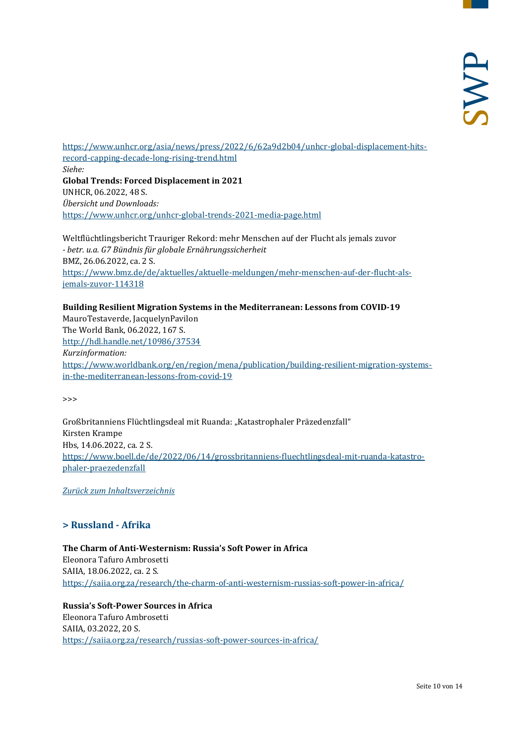[https://www.unhcr.org/asia/news/press/2022/6/62a9d2b04/unhcr-global-displacement-hits](https://www.unhcr.org/asia/news/press/2022/6/62a9d2b04/unhcr-global-displacement-hits-record-capping-decade-long-rising-trend.html)[record-capping-decade-long-rising-trend.html](https://www.unhcr.org/asia/news/press/2022/6/62a9d2b04/unhcr-global-displacement-hits-record-capping-decade-long-rising-trend.html) *Siehe:* **Global Trends: Forced Displacement in 2021** UNHCR, 06.2022, 48 S. *Übersicht und Downloads:* <https://www.unhcr.org/unhcr-global-trends-2021-media-page.html>

Weltflüchtlingsbericht Trauriger Rekord: mehr Menschen auf der Flucht als jemals zuvor *- betr. u.a. G7 Bündnis für globale Ernährungssicherheit* BMZ, 26.06.2022, ca. 2 S. [https://www.bmz.de/de/aktuelles/aktuelle-meldungen/mehr-menschen-auf-der-flucht-als](https://www.bmz.de/de/aktuelles/aktuelle-meldungen/mehr-menschen-auf-der-flucht-als-jemals-zuvor-114318)[jemals-zuvor-114318](https://www.bmz.de/de/aktuelles/aktuelle-meldungen/mehr-menschen-auf-der-flucht-als-jemals-zuvor-114318)

#### **Building Resilient Migration Systems in the Mediterranean: Lessons from COVID-19**

MauroTestaverde, JacquelynPavilon The World Bank, 06.2022, 167 S. <http://hdl.handle.net/10986/37534> *Kurzinformation:* [https://www.worldbank.org/en/region/mena/publication/building-resilient-migration-systems](https://www.worldbank.org/en/region/mena/publication/building-resilient-migration-systems-in-the-mediterranean-lessons-from-covid-19)[in-the-mediterranean-lessons-from-covid-19](https://www.worldbank.org/en/region/mena/publication/building-resilient-migration-systems-in-the-mediterranean-lessons-from-covid-19)

>>>

Großbritanniens Flüchtlingsdeal mit Ruanda: "Katastrophaler Präzedenzfall" Kirsten Krampe Hbs, 14.06.2022, ca. 2 S. [https://www.boell.de/de/2022/06/14/grossbritanniens-fluechtlingsdeal-mit-ruanda-katastro](https://www.boell.de/de/2022/06/14/grossbritanniens-fluechtlingsdeal-mit-ruanda-katastrophaler-praezedenzfall)[phaler-praezedenzfall](https://www.boell.de/de/2022/06/14/grossbritanniens-fluechtlingsdeal-mit-ruanda-katastrophaler-praezedenzfall)

<span id="page-9-0"></span>*[Zurück zum Inhaltsverzeichnis](#page-0-0)*

# **> Russland - Afrika**

**The Charm of Anti-Westernism: Russia's Soft Power in Africa** Eleonora Tafuro Ambrosetti SAIIA, 18.06.2022, ca. 2 S. <https://saiia.org.za/research/the-charm-of-anti-westernism-russias-soft-power-in-africa/>

**Russia's Soft-Power Sources in Africa** Eleonora Tafuro Ambrosetti SAIIA, 03.2022, 20 S. <https://saiia.org.za/research/russias-soft-power-sources-in-africa/>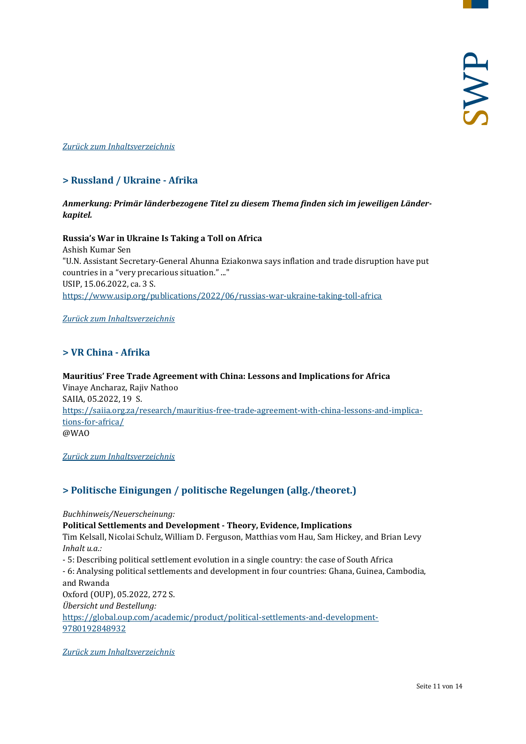#### <span id="page-10-0"></span>*[Zurück zum Inhaltsverzeichnis](#page-0-0)*

# **> Russland / Ukraine - Afrika**

#### *Anmerkung: Primär länderbezogene Titel zu diesem Thema finden sich im jeweiligen Länderkapitel.*

**Russia's War in Ukraine Is Taking a Toll on Africa** Ashish Kumar Sen "U.N. Assistant Secretary-General Ahunna Eziakonwa says inflation and trade disruption have put countries in a "very precarious situation." ..." USIP, 15.06.2022, ca. 3 S. <https://www.usip.org/publications/2022/06/russias-war-ukraine-taking-toll-africa>

<span id="page-10-1"></span>*[Zurück zum Inhaltsverzeichnis](#page-0-0)*

#### **> VR China - Afrika**

**Mauritius' Free Trade Agreement with China: Lessons and Implications for Africa** Vinaye Ancharaz, Rajiv Nathoo SAIIA, 05.2022, 19 S. [https://saiia.org.za/research/mauritius-free-trade-agreement-with-china-lessons-and-implica](https://saiia.org.za/research/mauritius-free-trade-agreement-with-china-lessons-and-implications-for-africa/)[tions-for-africa/](https://saiia.org.za/research/mauritius-free-trade-agreement-with-china-lessons-and-implications-for-africa/) @WAO

<span id="page-10-2"></span>*[Zurück zum Inhaltsverzeichnis](#page-0-0)*

# **> Politische Einigungen / politische Regelungen (allg./theoret.)**

*Buchhinweis/Neuerscheinung:* **Political Settlements and Development - Theory, Evidence, Implications** Tim Kelsall, Nicolai Schulz, William D. Ferguson, Matthias vom Hau, Sam Hickey, and Brian Levy *Inhalt u.a.:* - 5: Describing political settlement evolution in a single country: the case of South Africa - 6: Analysing political settlements and development in four countries: Ghana, Guinea, Cambodia, and Rwanda Oxford (OUP), 05.2022, 272 S. *Übersicht und Bestellung:* [https://global.oup.com/academic/product/political-settlements-and-development-](https://global.oup.com/academic/product/political-settlements-and-development-9780192848932)[9780192848932](https://global.oup.com/academic/product/political-settlements-and-development-9780192848932)

*[Zurück zum Inhaltsverzeichnis](#page-0-0)*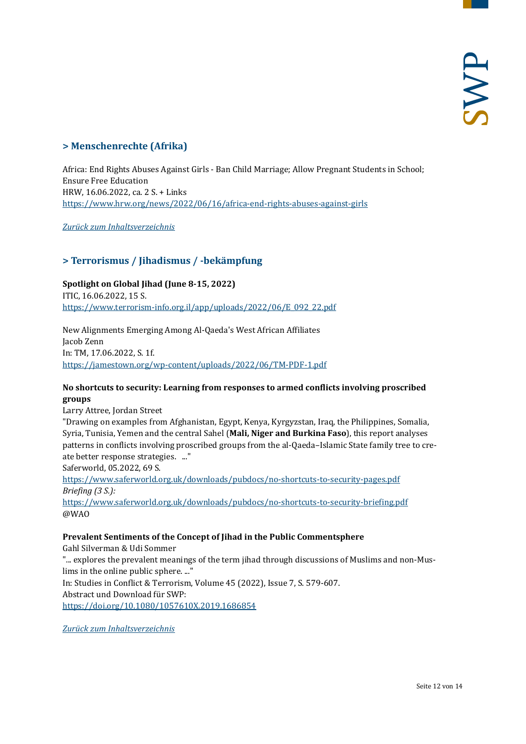# <span id="page-11-0"></span>**> Menschenrechte (Afrika)**

Africa: End Rights Abuses Against Girls - Ban Child Marriage; Allow Pregnant Students in School; Ensure Free Education HRW, 16.06.2022, ca. 2 S. + Links <https://www.hrw.org/news/2022/06/16/africa-end-rights-abuses-against-girls>

<span id="page-11-1"></span>*[Zurück zum Inhaltsverzeichnis](#page-0-0)*

# **> Terrorismus / Jihadismus / -bekämpfung**

**Spotlight on Global Jihad (June 8-15, 2022)** ITIC, 16.06.2022, 15 S. [https://www.terrorism-info.org.il/app/uploads/2022/06/E\\_092\\_22.pdf](https://www.terrorism-info.org.il/app/uploads/2022/06/E_092_22.pdf)

New Alignments Emerging Among Al-Qaeda's West African Affiliates Jacob Zenn In: TM, 17.06.2022, S. 1f. <https://jamestown.org/wp-content/uploads/2022/06/TM-PDF-1.pdf>

#### **No shortcuts to security: Learning from responses to armed conflicts involving proscribed groups**

Larry Attree, Jordan Street

"Drawing on examples from Afghanistan, Egypt, Kenya, Kyrgyzstan, Iraq, the Philippines, Somalia, Syria, Tunisia, Yemen and the central Sahel (**Mali, Niger and Burkina Faso**), this report analyses patterns in conflicts involving proscribed groups from the al-Qaeda–Islamic State family tree to create better response strategies. ..."

Saferworld, 05.2022, 69 S.

<https://www.saferworld.org.uk/downloads/pubdocs/no-shortcuts-to-security-pages.pdf> *Briefing (3 S.):*

<https://www.saferworld.org.uk/downloads/pubdocs/no-shortcuts-to-security-briefing.pdf> @WAO

#### **Prevalent Sentiments of the Concept of Jihad in the Public Commentsphere**

Gahl Silverman & Udi Sommer

"... explores the prevalent meanings of the term jihad through discussions of Muslims and non-Muslims in the online public sphere. ..." In: Studies in Conflict & Terrorism, Volume 45 (2022), Issue 7, S. 579-607. Abstract und Download für SWP: <https://doi.org/10.1080/1057610X.2019.1686854>

*[Zurück zum Inhaltsverzeichnis](#page-0-0)*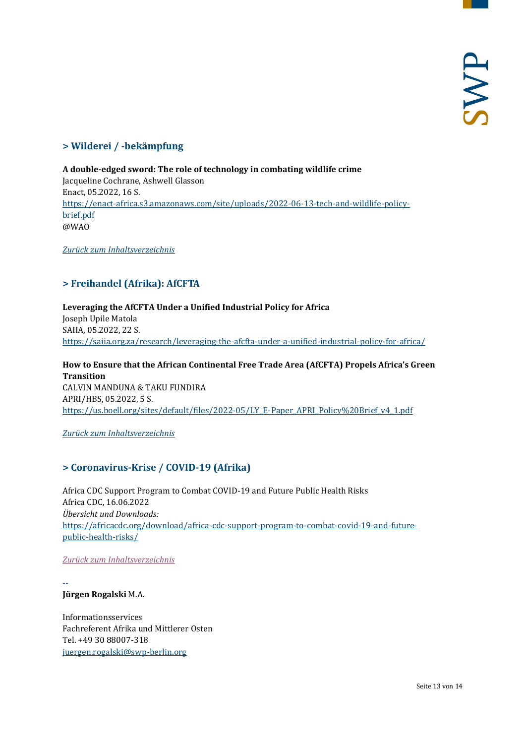# <span id="page-12-0"></span>**> Wilderei / -bekämpfung**

**A double-edged sword: The role of technology in combating wildlife crime**  Jacqueline Cochrane, Ashwell Glasson Enact, 05.2022, 16 S. [https://enact-africa.s3.amazonaws.com/site/uploads/2022-06-13-tech-and-wildlife-policy](https://enact-africa.s3.amazonaws.com/site/uploads/2022-06-13-tech-and-wildlife-policy-brief.pdf)[brief.pdf](https://enact-africa.s3.amazonaws.com/site/uploads/2022-06-13-tech-and-wildlife-policy-brief.pdf) @WAO

<span id="page-12-1"></span>*[Zurück zum Inhaltsverzeichnis](#page-0-0)*

# **> Freihandel (Afrika): AfCFTA**

**Leveraging the AfCFTA Under a Unified Industrial Policy for Africa** Joseph Upile Matola SAIIA, 05.2022, 22 S. <https://saiia.org.za/research/leveraging-the-afcfta-under-a-unified-industrial-policy-for-africa/>

**How to Ensure that the African Continental Free Trade Area (AfCFTA) Propels Africa's Green Transition** CALVIN MANDUNA & TAKU FUNDIRA APRI/HBS, 05.2022, 5 S. [https://us.boell.org/sites/default/files/2022-05/LY\\_E-Paper\\_APRI\\_Policy%20Brief\\_v4\\_1.pdf](https://us.boell.org/sites/default/files/2022-05/LY_E-Paper_APRI_Policy%20Brief_v4_1.pdf)

#### <span id="page-12-2"></span>*[Zurück zum Inhaltsverzeichnis](#page-0-0)*

# **> Coronavirus-Krise / COVID-19 (Afrika)**

Africa CDC Support Program to Combat COVID-19 and Future Public Health Risks Africa CDC, 16.06.2022 *Übersicht und Downloads:* [https://africacdc.org/download/africa-cdc-support-program-to-combat-covid-19-and-future](https://africacdc.org/download/africa-cdc-support-program-to-combat-covid-19-and-future-public-health-risks/)[public-health-risks/](https://africacdc.org/download/africa-cdc-support-program-to-combat-covid-19-and-future-public-health-risks/)

#### *[Zurück zum Inhaltsverzeichnis](#page-0-0)*

-- **Jürgen Rogalski** M.A.

Informationsservices Fachreferent Afrika und Mittlerer Osten Tel. +49 30 88007-318 [juergen.rogalski@swp-berlin.org](mailto:juergen.rogalski@swp-berlin.org)